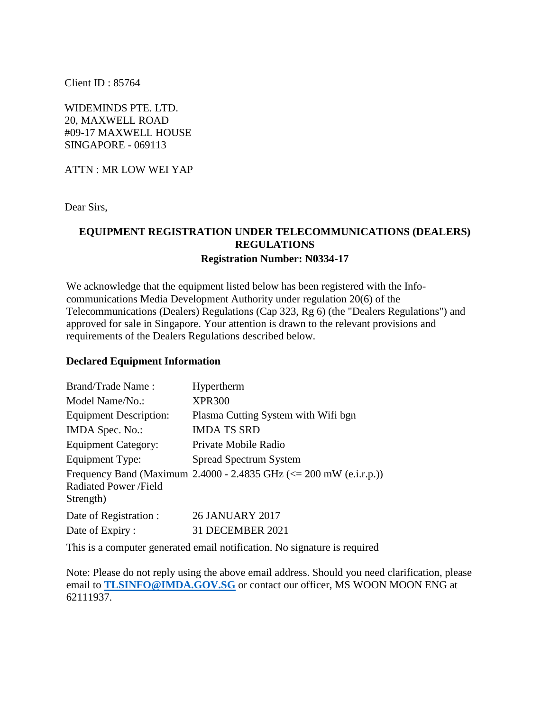Client ID : 85764

WIDEMINDS PTE. LTD. 20, MAXWELL ROAD #09-17 MAXWELL HOUSE SINGAPORE - 069113

ATTN : MR LOW WEI YAP

Dear Sirs,

## **EQUIPMENT REGISTRATION UNDER TELECOMMUNICATIONS (DEALERS) REGULATIONS Registration Number: N0334-17**

We acknowledge that the equipment listed below has been registered with the Infocommunications Media Development Authority under regulation 20(6) of the Telecommunications (Dealers) Regulations (Cap 323, Rg 6) (the "Dealers Regulations") and approved for sale in Singapore. Your attention is drawn to the relevant provisions and requirements of the Dealers Regulations described below.

## **Declared Equipment Information**

| Brand/Trade Name:                   | Hypertherm                                                             |
|-------------------------------------|------------------------------------------------------------------------|
| Model Name/No.:                     | <b>XPR300</b>                                                          |
| <b>Equipment Description:</b>       | Plasma Cutting System with Wifi bgn                                    |
| IMDA Spec. No.:                     | <b>IMDA TS SRD</b>                                                     |
| <b>Equipment Category:</b>          | Private Mobile Radio                                                   |
| Equipment Type:                     | <b>Spread Spectrum System</b>                                          |
| Radiated Power / Field<br>Strength) | Frequency Band (Maximum 2.4000 - 2.4835 GHz ( $\le$ 200 mW (e.i.r.p.)) |
| Date of Registration :              | <b>26 JANUARY 2017</b>                                                 |
| Date of Expiry:                     | 31 DECEMBER 2021                                                       |

This is a computer generated email notification. No signature is required

Note: Please do not reply using the above email address. Should you need clarification, please email to **[TLSINFO@IMDA.GOV.SG](mailto:TLSINFO@IMDA.GOV.SG)** or contact our officer, MS WOON MOON ENG at 62111937.